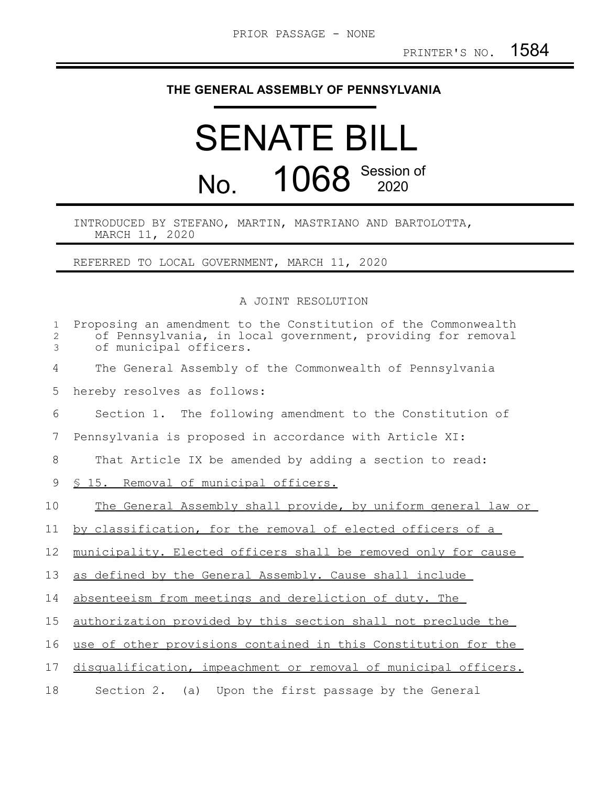## **THE GENERAL ASSEMBLY OF PENNSYLVANIA**

## SENATE BILL No. 1068 Session of

## INTRODUCED BY STEFANO, MARTIN, MASTRIANO AND BARTOLOTTA, MARCH 11, 2020

REFERRED TO LOCAL GOVERNMENT, MARCH 11, 2020

A JOINT RESOLUTION

| $\mathbf{1}$<br>2<br>3 | Proposing an amendment to the Constitution of the Commonwealth<br>of Pennsylvania, in local government, providing for removal<br>of municipal officers. |
|------------------------|---------------------------------------------------------------------------------------------------------------------------------------------------------|
| 4                      | The General Assembly of the Commonwealth of Pennsylvania                                                                                                |
| 5                      | hereby resolves as follows:                                                                                                                             |
| 6                      | Section 1. The following amendment to the Constitution of                                                                                               |
| 7                      | Pennsylvania is proposed in accordance with Article XI:                                                                                                 |
| 8                      | That Article IX be amended by adding a section to read:                                                                                                 |
| 9                      | <u>S 15. Removal of municipal officers.</u>                                                                                                             |
| 10                     | The General Assembly shall provide, by uniform general law or                                                                                           |
| 11                     | by classification, for the removal of elected officers of a                                                                                             |
| 12                     | municipality. Elected officers shall be removed only for cause                                                                                          |
| 13                     | as defined by the General Assembly. Cause shall include                                                                                                 |
| 14                     | absenteeism from meetings and dereliction of duty. The                                                                                                  |
| 15                     | authorization provided by this section shall not preclude the                                                                                           |
| 16                     | use of other provisions contained in this Constitution for the                                                                                          |
| 17                     | disqualification, impeachment or removal of municipal officers.                                                                                         |
| 18                     | Section 2. $(a)$<br>Upon the first passage by the General                                                                                               |